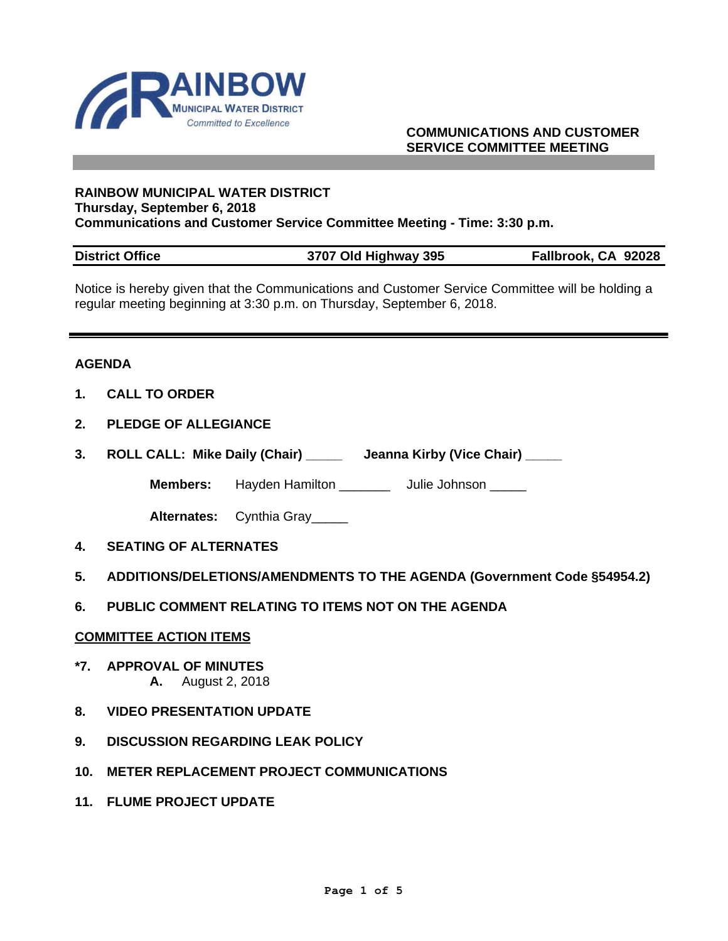

## **COMMUNICATIONS AND CUSTOMER SERVICE COMMITTEE MEETING**

## **RAINBOW MUNICIPAL WATER DISTRICT Thursday, September 6, 2018 Communications and Customer Service Committee Meeting - Time: 3:30 p.m.**

| <b>District Office</b> | 3707 Old Highway 395 | Fallbrook, CA 92028 |
|------------------------|----------------------|---------------------|

Notice is hereby given that the Communications and Customer Service Committee will be holding a regular meeting beginning at 3:30 p.m. on Thursday, September 6, 2018.

## **AGENDA**

- **1. CALL TO ORDER**
- **2. PLEDGE OF ALLEGIANCE**
- **3. ROLL CALL: Mike Daily (Chair) \_\_\_\_\_ Jeanna Kirby (Vice Chair) \_\_\_\_\_**

**Members:** Hayden Hamilton \_\_\_\_\_\_\_\_ Julie Johnson

**Alternates:** Cynthia Gray\_\_\_\_\_

- **4. SEATING OF ALTERNATES**
- **5. ADDITIONS/DELETIONS/AMENDMENTS TO THE AGENDA (Government Code §54954.2)**
- **6. PUBLIC COMMENT RELATING TO ITEMS NOT ON THE AGENDA**

## **COMMITTEE ACTION ITEMS**

- **\*7. APPROVAL OF MINUTES A.** August 2, 2018
- **8. VIDEO PRESENTATION UPDATE**
- **9. DISCUSSION REGARDING LEAK POLICY**
- **10. METER REPLACEMENT PROJECT COMMUNICATIONS**
- **11. FLUME PROJECT UPDATE**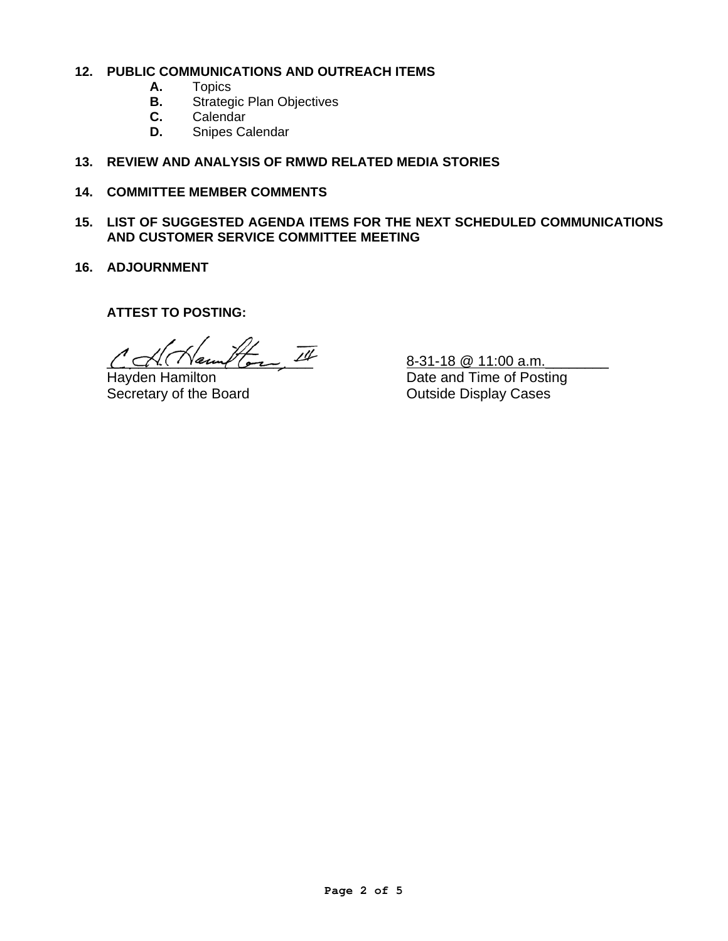# **12. PUBLIC COMMUNICATIONS AND OUTREACH ITEMS**

- **A.** Topics
- **B.** Strategic Plan Objectives
- **C.** Calendar<br>**D.** Snipes Ca
- **D.** Snipes Calendar

## **13. REVIEW AND ANALYSIS OF RMWD RELATED MEDIA STORIES**

- **14. COMMITTEE MEMBER COMMENTS**
- **15. LIST OF SUGGESTED AGENDA ITEMS FOR THE NEXT SCHEDULED COMMUNICATIONS AND CUSTOMER SERVICE COMMITTEE MEETING**
- **16. ADJOURNMENT**

**ATTEST TO POSTING:** 

 $\mathcal{H}_{\mathsf{max}}$   $\overline{\mathcal{H}}$  8-31-18 @ 11:00 a.m.

Hayden Hamilton<br>
Secretary of the Board<br>
Date and Time of Posting<br>
Outside Display Cases **Outside Display Cases**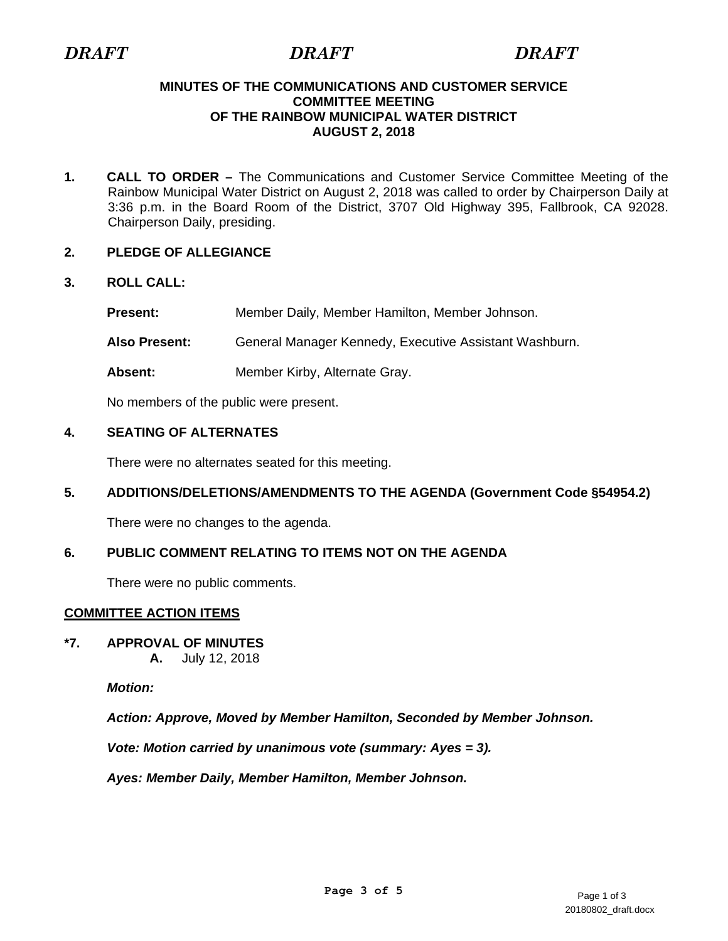## **MINUTES OF THE COMMUNICATIONS AND CUSTOMER SERVICE COMMITTEE MEETING OF THE RAINBOW MUNICIPAL WATER DISTRICT AUGUST 2, 2018**

**1. CALL TO ORDER –** The Communications and Customer Service Committee Meeting of the Rainbow Municipal Water District on August 2, 2018 was called to order by Chairperson Daily at 3:36 p.m. in the Board Room of the District, 3707 Old Highway 395, Fallbrook, CA 92028. Chairperson Daily, presiding.

# **2. PLEDGE OF ALLEGIANCE**

# **3. ROLL CALL:**

**Present:** Member Daily, Member Hamilton, Member Johnson.

**Also Present:** General Manager Kennedy, Executive Assistant Washburn.

Absent: Member Kirby, Alternate Gray.

No members of the public were present.

## **4. SEATING OF ALTERNATES**

There were no alternates seated for this meeting.

## **5. ADDITIONS/DELETIONS/AMENDMENTS TO THE AGENDA (Government Code §54954.2)**

There were no changes to the agenda.

## **6. PUBLIC COMMENT RELATING TO ITEMS NOT ON THE AGENDA**

There were no public comments.

## **COMMITTEE ACTION ITEMS**

**\*7. APPROVAL OF MINUTES A.** July 12, 2018

*Motion:* 

 *Action: Approve, Moved by Member Hamilton, Seconded by Member Johnson.* 

 *Vote: Motion carried by unanimous vote (summary: Ayes = 3).* 

 *Ayes: Member Daily, Member Hamilton, Member Johnson.*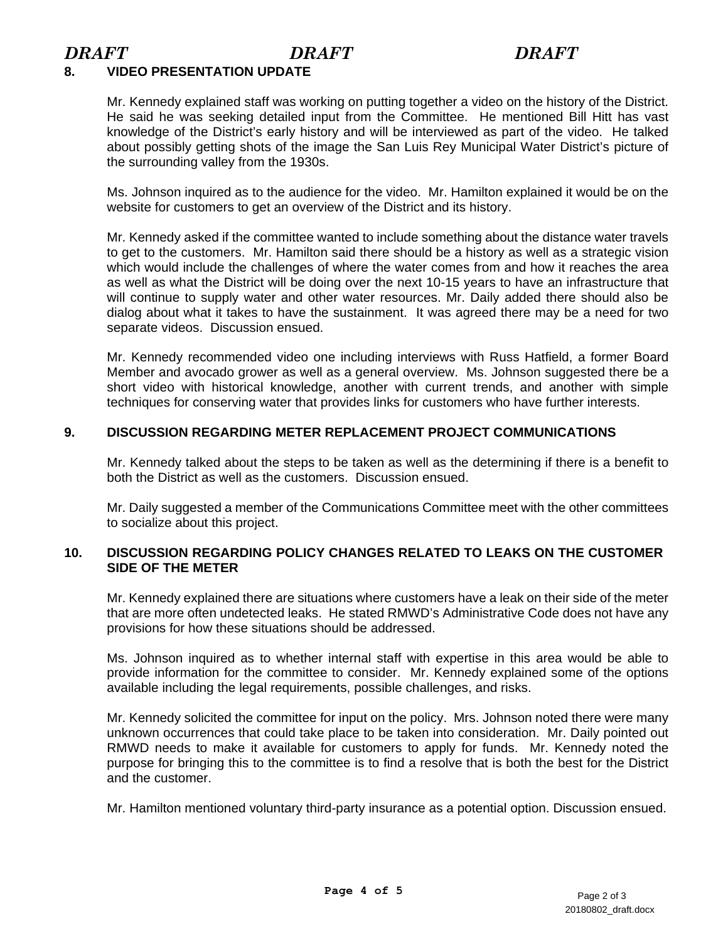# *DRAFT DRAFT DRAFT*

# **8. VIDEO PRESENTATION UPDATE**

Mr. Kennedy explained staff was working on putting together a video on the history of the District. He said he was seeking detailed input from the Committee. He mentioned Bill Hitt has vast knowledge of the District's early history and will be interviewed as part of the video. He talked about possibly getting shots of the image the San Luis Rey Municipal Water District's picture of the surrounding valley from the 1930s.

Ms. Johnson inquired as to the audience for the video. Mr. Hamilton explained it would be on the website for customers to get an overview of the District and its history.

Mr. Kennedy asked if the committee wanted to include something about the distance water travels to get to the customers. Mr. Hamilton said there should be a history as well as a strategic vision which would include the challenges of where the water comes from and how it reaches the area as well as what the District will be doing over the next 10-15 years to have an infrastructure that will continue to supply water and other water resources. Mr. Daily added there should also be dialog about what it takes to have the sustainment. It was agreed there may be a need for two separate videos. Discussion ensued.

Mr. Kennedy recommended video one including interviews with Russ Hatfield, a former Board Member and avocado grower as well as a general overview. Ms. Johnson suggested there be a short video with historical knowledge, another with current trends, and another with simple techniques for conserving water that provides links for customers who have further interests.

# **9. DISCUSSION REGARDING METER REPLACEMENT PROJECT COMMUNICATIONS**

Mr. Kennedy talked about the steps to be taken as well as the determining if there is a benefit to both the District as well as the customers. Discussion ensued.

Mr. Daily suggested a member of the Communications Committee meet with the other committees to socialize about this project.

## **10. DISCUSSION REGARDING POLICY CHANGES RELATED TO LEAKS ON THE CUSTOMER SIDE OF THE METER**

Mr. Kennedy explained there are situations where customers have a leak on their side of the meter that are more often undetected leaks. He stated RMWD's Administrative Code does not have any provisions for how these situations should be addressed.

Ms. Johnson inquired as to whether internal staff with expertise in this area would be able to provide information for the committee to consider. Mr. Kennedy explained some of the options available including the legal requirements, possible challenges, and risks.

Mr. Kennedy solicited the committee for input on the policy. Mrs. Johnson noted there were many unknown occurrences that could take place to be taken into consideration. Mr. Daily pointed out RMWD needs to make it available for customers to apply for funds. Mr. Kennedy noted the purpose for bringing this to the committee is to find a resolve that is both the best for the District and the customer.

Mr. Hamilton mentioned voluntary third-party insurance as a potential option. Discussion ensued.